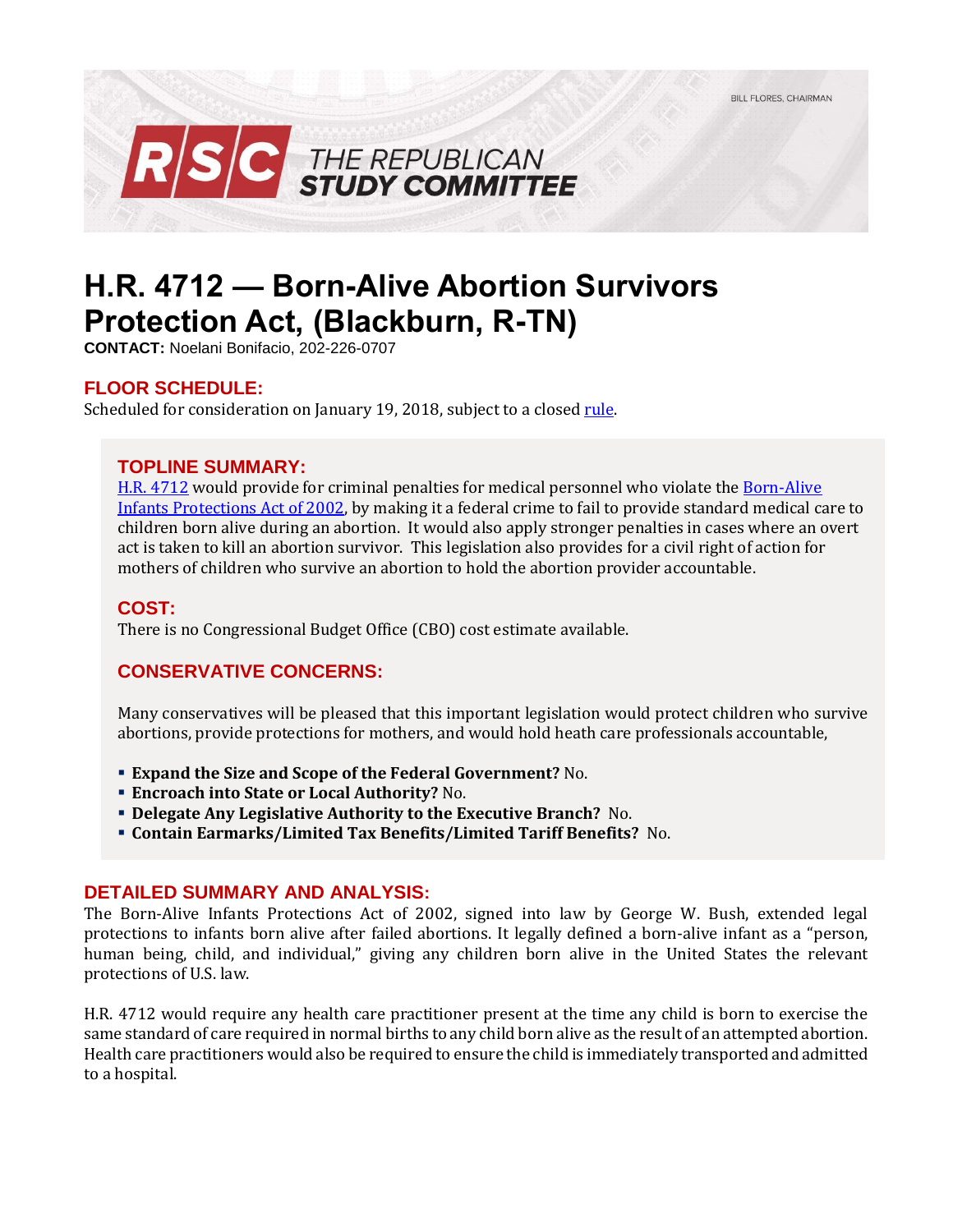

# **H.R. 4712 — Born-Alive Abortion Survivors Protection Act, (Blackburn, R-TN)**

**CONTACT:** Noelani Bonifacio, 202-226-0707

## **FLOOR SCHEDULE:**

Scheduled for consideration on January 19, 2018, subject to a closed rule.

#### **TOPLINE SUMMARY:**

H.R. [4712](https://www.gpo.gov/fdsys/pkg/BILLS-115hr4712ih/pdf/BILLS-115hr4712ih.pdf) would provide for criminal penalties for medical personnel who violate the Born-Alive [Infants Protections Act of 2002,](https://www.congress.gov/107/plaws/publ207/PLAW-107publ207.pdf) by making it a federal crime to fail to provide standard medical care to children born alive during an abortion. It would also apply stronger penalties in cases where an overt act is taken to kill an abortion survivor. This legislation also provides for a civil right of action for mothers of children who survive an abortion to hold the abortion provider accountable.

#### **COST:**

There is no Congressional Budget Office (CBO) cost estimate available.

## **CONSERVATIVE CONCERNS:**

Many conservatives will be pleased that this important legislation would protect children who survive abortions, provide protections for mothers, and would hold heath care professionals accountable,

- **Expand the Size and Scope of the Federal Government?** No.
- **Encroach into State or Local Authority?** No.
- **Delegate Any Legislative Authority to the Executive Branch?** No.
- **Contain Earmarks/Limited Tax Benefits/Limited Tariff Benefits?** No.

#### **DETAILED SUMMARY AND ANALYSIS:**

The Born-Alive Infants Protections Act of 2002, signed into law by George W. Bush, extended legal protections to infants born alive after failed abortions. It legally defined a born-alive infant as a "person, human being, child, and individual," giving any children born alive in the United States the relevant protections of U.S. law.

H.R. 4712 would require any health care practitioner present at the time any child is born to exercise the same standard of care required in normal births to any child born alive as the result of an attempted abortion. Health care practitioners would also be required to ensure the child is immediately transported and admitted to a hospital.